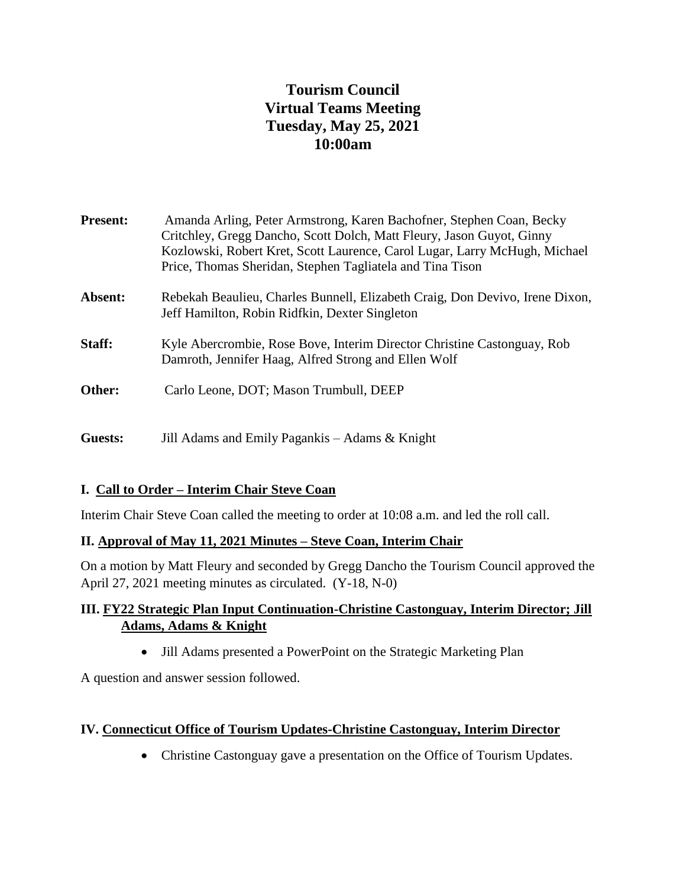# **Tourism Council Virtual Teams Meeting Tuesday, May 25, 2021 10:00am**

| <b>Present:</b> | Amanda Arling, Peter Armstrong, Karen Bachofner, Stephen Coan, Becky<br>Critchley, Gregg Dancho, Scott Dolch, Matt Fleury, Jason Guyot, Ginny<br>Kozlowski, Robert Kret, Scott Laurence, Carol Lugar, Larry McHugh, Michael<br>Price, Thomas Sheridan, Stephen Tagliatela and Tina Tison |
|-----------------|------------------------------------------------------------------------------------------------------------------------------------------------------------------------------------------------------------------------------------------------------------------------------------------|
| Absent:         | Rebekah Beaulieu, Charles Bunnell, Elizabeth Craig, Don Devivo, Irene Dixon,<br>Jeff Hamilton, Robin Ridfkin, Dexter Singleton                                                                                                                                                           |
| Staff:          | Kyle Abercrombie, Rose Bove, Interim Director Christine Castonguay, Rob<br>Damroth, Jennifer Haag, Alfred Strong and Ellen Wolf                                                                                                                                                          |
| Other:          | Carlo Leone, DOT; Mason Trumbull, DEEP                                                                                                                                                                                                                                                   |
| Guests:         | Jill Adams and Emily Pagankis – Adams & Knight                                                                                                                                                                                                                                           |

# **I. Call to Order – Interim Chair Steve Coan**

Interim Chair Steve Coan called the meeting to order at 10:08 a.m. and led the roll call.

## **II. Approval of May 11, 2021 Minutes – Steve Coan, Interim Chair**

On a motion by Matt Fleury and seconded by Gregg Dancho the Tourism Council approved the April 27, 2021 meeting minutes as circulated. (Y-18, N-0)

## **III. FY22 Strategic Plan Input Continuation-Christine Castonguay, Interim Director; Jill Adams, Adams & Knight**

Jill Adams presented a PowerPoint on the Strategic Marketing Plan

A question and answer session followed.

## **IV. Connecticut Office of Tourism Updates-Christine Castonguay, Interim Director**

• Christine Castonguay gave a presentation on the Office of Tourism Updates.